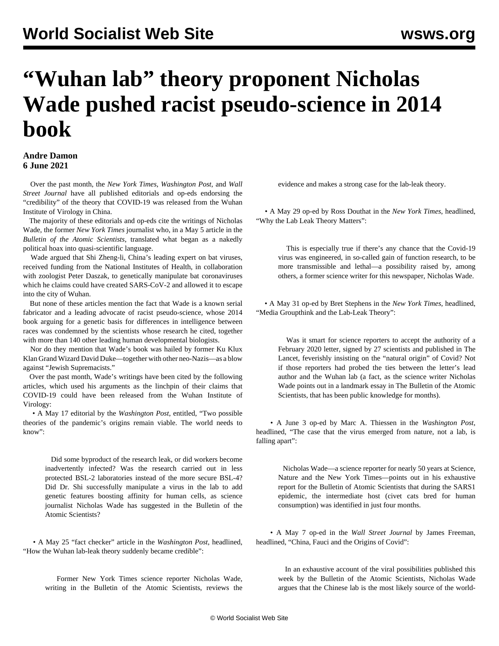## **"Wuhan lab" theory proponent Nicholas Wade pushed racist pseudo-science in 2014 book**

## **Andre Damon 6 June 2021**

 Over the past month, the *New York Times*, *Washington Post*, and *Wall Street Journal* have all published editorials and op-eds endorsing the "credibility" of the theory that COVID-19 was released from the Wuhan Institute of Virology in China.

 The majority of these editorials and op-eds cite the writings of Nicholas Wade, the former *New York Times* journalist who, in a May 5 article in the *[Bulletin of](https://thebulletin.org/2021/05/the-origin-of-covid-did-people-or-nature-open-pandoras-box-at-wuhan/) [the](https://thebulletin.org/2021/05/the-origin-of-covid-did-people-or-nature-open-pandoras-box-at-wuhan/) [Atomic Scientists](https://thebulletin.org/2021/05/the-origin-of-covid-did-people-or-nature-open-pandoras-box-at-wuhan/)*, translated what began as a nakedly political hoax into quasi-scientific language.

 Wade argued that Shi Zheng-li, China's leading expert on bat viruses, received funding from the National Institutes of Health, in collaboration with zoologist Peter Daszak, to genetically manipulate bat coronaviruses which he claims could have created SARS-CoV-2 and allowed it to escape into the city of Wuhan.

 But none of these articles mention the fact that Wade is a known serial fabricator and a leading advocate of racist pseudo-science, whose 2014 book arguing for a genetic basis for differences in intelligence between races was condemned by the scientists whose research he cited, together with more than 140 other leading human developmental biologists.

 Nor do they mention that Wade's book was hailed by former Ku Klux Klan Grand Wizard David Duke—together with other neo-Nazis—as a blow against "Jewish Supremacists."

 Over the past month, Wade's writings have been cited by the following articles, which used his arguments as the linchpin of their claims that COVID-19 could have been released from the Wuhan Institute of Virology:

 • A [May 17 editorial](https://www.washingtonpost.com/opinions/global-opinions/two-possible-theories-of-the-pandemics-origins-remain-viable-the-world-needs-to-know/2021/05/17/b87f0b0e-b737-11eb-96b9-e949d5397de9_story.html) by the *Washington Post*, entitled, "Two possible theories of the pandemic's origins remain viable. The world needs to know":

 Did some byproduct of the research leak, or did workers become inadvertently infected? Was the research carried out in less protected BSL-2 laboratories instead of the more secure BSL-4? Did Dr. Shi successfully manipulate a virus in the lab to add genetic features boosting affinity for human cells, as science journalist Nicholas Wade has suggested in the Bulletin of the Atomic Scientists?

 • A [May 25 "fact checker" article](https://thebulletin.org/2021/05/the-origin-of-covid-did-people-or-nature-open-pandoras-box-at-wuhan/) in the *Washington Post*, headlined, "How the Wuhan lab-leak theory suddenly became credible":

 Former New York Times science reporter Nicholas Wade, writing in the Bulletin of the Atomic Scientists, reviews the evidence and makes a strong case for the lab-leak theory.

 • A [May 29 op-ed](https://www.nytimes.com/2021/05/29/opinion/wuhan-lab-leak-theory-covid.html) by Ross Douthat in the *New York Times*, headlined, "Why the Lab Leak Theory Matters":

 This is especially true if there's any chance that the Covid-19 virus was engineered, in so-called gain of function research, to be more transmissible and lethal—a possibility raised by, among others, a former science writer for this newspaper, Nicholas Wade.

 • A [May 31 op-ed](https://www.nytimes.com/2021/05/31/opinion/media-lab-leak-theory.html) by Bret Stephens in the *New York Times*, headlined, "Media Groupthink and the Lab-Leak Theory":

 Was it smart for science reporters to accept the authority of a February 2020 letter, signed by 27 scientists and published in The Lancet, feverishly insisting on the "natural origin" of Covid? Not if those reporters had probed the ties between the letter's lead author and the Wuhan lab (a fact, as the science writer Nicholas Wade points out in a landmark essay in The Bulletin of the Atomic Scientists, that has been public knowledge for months).

 • A [June 3 op-ed](https://www.washingtonpost.com/opinions/2021/06/03/case-that-virus-emerged-nature-not-lab-is-falling-apart/) by Marc A. Thiessen in the *Washington Post*, headlined, "The case that the virus emerged from nature, not a lab, is falling apart":

 Nicholas Wade—a science reporter for nearly 50 years at Science, Nature and the New York Times—points out in his exhaustive report for the Bulletin of Atomic Scientists that during the SARS1 epidemic, the intermediate host (civet cats bred for human consumption) was identified in just four months.

 • A [May 7 op-ed](https://www.wsj.com/articles/china-fauci-and-the-origins-of-covid-11620419989) in the *Wall Street Journal* by James Freeman, headlined, "China, Fauci and the Origins of Covid":

 In an exhaustive account of the viral possibilities published this week by the Bulletin of the Atomic Scientists, Nicholas Wade argues that the Chinese lab is the most likely source of the world-